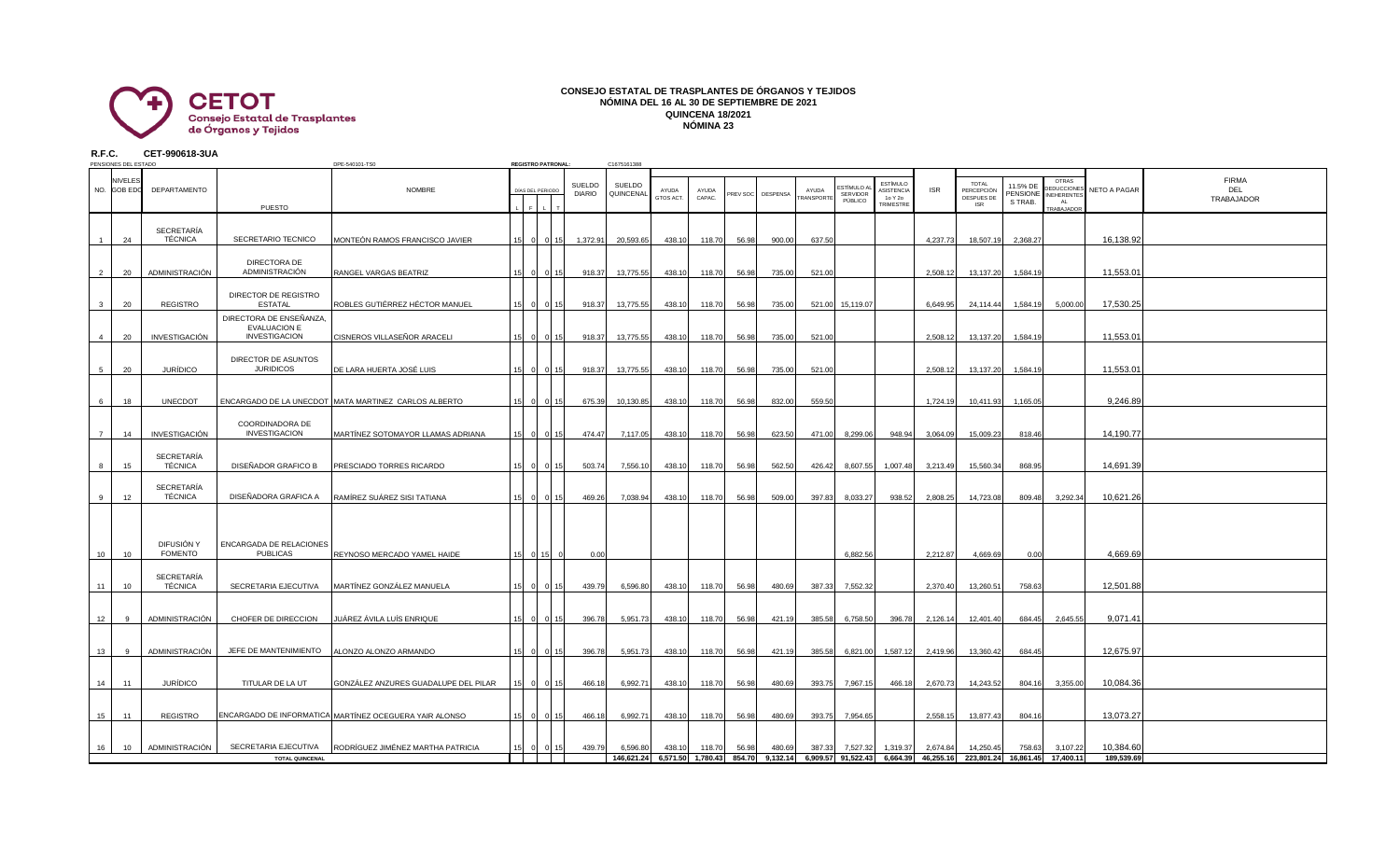

## **CONSEJO ESTATAL DE TRASPLANTES DE ÓRGANOS Y TEJIDOS NÓMINA DEL 16 AL 30 DE SEPTIEMBRE DE 2021 QUINCENA 18/2021 NÓMINA 23**

**R.F.C. CET-990618-3UA**

| PENSIONES DEL ESTADO<br>DPE-540101-TS0 |             |         |                              |                                                                        |                                                        | <b>REGISTRO PATRONAL:</b> |                             | C1675161388                    |                     |                    |                 |       |                   |                     |                                         |                                                       |            |                                                                                                                   |                                 |                                                                       |              |                                   |
|----------------------------------------|-------------|---------|------------------------------|------------------------------------------------------------------------|--------------------------------------------------------|---------------------------|-----------------------------|--------------------------------|---------------------|--------------------|-----------------|-------|-------------------|---------------------|-----------------------------------------|-------------------------------------------------------|------------|-------------------------------------------------------------------------------------------------------------------|---------------------------------|-----------------------------------------------------------------------|--------------|-----------------------------------|
|                                        | NO. GOB EDO | NIVELE: | DEPARTAMENTO                 | PUESTO                                                                 | <b>NOMBRE</b>                                          |                           | DÍAS DEL PERIODO            | <b>SUELDO</b><br><b>DIARIO</b> | SUELDO<br>QUINCENAL | AYUDA<br>GTOS ACT. | AYUDA<br>CAPAC. |       | PREV SOC DESPENSA | AYUDA<br>TRANSPORTE | STÍMULO A<br><b>SERVIDOR</b><br>PÚBLICO | <b>ESTÍMULO</b><br>ASISTENCIA<br>1o Y 2o<br>TRIMESTRE | <b>ISR</b> | <b>TOTAL</b><br>PERCEPCIÓN<br>DESPUES DE<br><b>ISR</b>                                                            | 11.5% DE<br>PENSIONE<br>S TRAB. | <b>OTRAS</b><br>DEDUCCIONES<br><b>INEHERENTES</b><br>AI<br>TRABAJADOR | NETO A PAGAR | <b>FIRMA</b><br>DEL<br>TRABAJADOR |
|                                        |             | 24      | SECRETARÍA<br>TÉCNICA        | SECRETARIO TECNICO                                                     | MONTEÓN RAMOS FRANCISCO JAVIER                         |                           |                             | 1,372.91                       | 20,593.65           | 438.10             | 118.70          | 56.98 | 900.00            | 637.50              |                                         |                                                       | 4,237.73   | 18,507.19                                                                                                         | 2,368.27                        |                                                                       | 16,138.92    |                                   |
|                                        |             | 20      | ADMINISTRACIÓN               | DIRECTORA DE<br>ADMINISTRACIÓN                                         | RANGEL VARGAS BEATRIZ                                  |                           |                             | 918.37                         | 13,775.55           | 438.10             | 118.70          | 56.98 | 735.00            | 521.00              |                                         |                                                       | 2,508.12   | 13,137.20                                                                                                         | 1,584.19                        |                                                                       | 11,553.01    |                                   |
|                                        |             | 20      | <b>REGISTRO</b>              | DIRECTOR DE REGISTRO<br><b>ESTATAL</b>                                 | ROBLES GUTIÉRREZ HÉCTOR MANUEL                         |                           |                             | 918.37                         | 13,775.55           | 438.10             | 118.70          | 56.98 | 735.00            |                     | 521.00 15,119.07                        |                                                       | 6,649.95   | 24,114.44                                                                                                         | 1,584.19                        | 5,000.00                                                              | 17,530.25    |                                   |
|                                        |             | 20      | INVESTIGACIÓN                | DIRECTORA DE ENSEÑANZA,<br><b>EVALUACION E</b><br><b>INVESTIGACION</b> | CISNEROS VILLASEÑOR ARACELI                            |                           |                             | 918.37                         | 13,775.55           | 438.10             | 118.70          | 56.98 | 735.00            | 521.00              |                                         |                                                       | 2,508.12   | 13,137.20                                                                                                         | 1,584.19                        |                                                                       | 11,553.01    |                                   |
|                                        |             | 20      | <b>JURÍDICO</b>              | DIRECTOR DE ASUNTOS<br><b>JURIDICOS</b>                                | DE LARA HUERTA JOSÉ LUIS                               |                           |                             | 918.37                         | 13,775.55           | 438.10             | 118.70          | 56.98 | 735.00            | 521.00              |                                         |                                                       | 2,508.12   | 13,137.20                                                                                                         | 1,584.19                        |                                                                       | 11,553.01    |                                   |
|                                        |             | 18      | <b>UNECDOT</b>               |                                                                        | ENCARGADO DE LA UNECDOT MATA MARTINEZ CARLOS ALBERTO   |                           |                             | 675.39                         | 10,130.85           | 438.10             | 118.70          | 56.98 | 832.00            | 559.50              |                                         |                                                       | 1,724.19   | 10,411.93                                                                                                         | 1,165.05                        |                                                                       | 9,246.89     |                                   |
|                                        |             | 14      | INVESTIGACIÓN                | COORDINADORA DE<br><b>INVESTIGACION</b>                                | MARTÍNEZ SOTOMAYOR LLAMAS ADRIANA                      |                           |                             | 474.47                         | 7,117.05            | 438.10             | 118.70          | 56.98 | 623.50            | 471.00              | 8,299.06                                | 948.94                                                | 3,064.09   | 15,009.23                                                                                                         | 818.46                          |                                                                       | 14,190.77    |                                   |
|                                        |             | 15      | SECRETARÍA<br>TÉCNICA        | DISEÑADOR GRAFICO B                                                    | PRESCIADO TORRES RICARDO                               |                           |                             | 503.74                         | 7,556.10            | 438.10             | 118.70          | 56.98 | 562.50            | 426.42              |                                         | 8,607.55 1,007.48                                     | 3,213.49   | 15,560.34                                                                                                         | 868.95                          |                                                                       | 14,691.39    |                                   |
|                                        |             | 12      | <b>SECRETARÍA</b><br>TÉCNICA | DISEÑADORA GRAFICA A                                                   | RAMÍREZ SUÁREZ SISI TATIANA                            |                           |                             | 469.26                         | 7,038.94            | 438.10             | 118.70          | 56.98 | 509.00            | 397.83              | 8,033.27                                | 938.52                                                | 2,808.25   | 14,723.08                                                                                                         | 809.48                          | 3,292.34                                                              | 10,621.26    |                                   |
|                                        |             |         | DIFUSIÓN Y                   | ENCARGADA DE RELACIONES                                                |                                                        |                           |                             |                                |                     |                    |                 |       |                   |                     |                                         |                                                       |            |                                                                                                                   |                                 |                                                                       |              |                                   |
|                                        | 10          | 10      | <b>FOMENTO</b>               | <b>PUBLICAS</b>                                                        | REYNOSO MERCADO YAMEL HAIDE                            |                           | 0.15                        | 0.00                           |                     |                    |                 |       |                   |                     | 6,882.56                                |                                                       | 2,212.87   | 4,669.69                                                                                                          | 0.00                            |                                                                       | 4,669.69     |                                   |
|                                        | 11          | 10      | SECRETARÍA<br>TÉCNICA        | SECRETARIA EJECUTIVA                                                   | MARTÍNEZ GONZÁLEZ MANUELA                              |                           |                             | 439.79                         | 6,596.80            | 438.10             | 118.70          | 56.98 | 480.69            | 387.33              | 7,552.32                                |                                                       | 2,370.40   | 13,260.51                                                                                                         | 758.63                          |                                                                       | 12,501.88    |                                   |
|                                        | 12          |         | ADMINISTRACIÓN               | CHOFER DE DIRECCION                                                    | JUÁREZ ÁVILA LUÍS ENRIQUE                              |                           |                             | 396.78                         | 5,951.73            | 438.10             | 118.70          | 56.98 | 421.19            | 385.58              | 6,758.50                                | 396.78                                                | 2,126.14   | 12,401.40                                                                                                         |                                 | 684.45 2,645.55                                                       | 9,071.41     |                                   |
|                                        | 13          |         | ADMINISTRACIÓN               | JEFE DE MANTENIMIENTO                                                  | ALONZO ALONZO ARMANDO                                  |                           |                             | 396.78                         | 5,951.73            | 438.10             | 118.70          | 56.98 | 421.19            |                     |                                         | 385.58 6,821.00 1,587.12                              | 2,419.96   | 13,360.42                                                                                                         | 684.45                          |                                                                       | 12,675.97    |                                   |
|                                        | 14          | 11      | <b>JURÍDICO</b>              | TITULAR DE LA UT                                                       | GONZÁLEZ ANZURES GUADALUPE DEL PILAR                   | 15                        | $\Omega$<br>15 <sub>l</sub> | 466.18                         | 6,992.71            | 438.10             | 118.70          | 56.98 | 480.69            |                     | 393.75 7,967.15                         | 466.18                                                | 2,670.73   | 14,243.52                                                                                                         |                                 | 804.16 3,355.00                                                       | 10,084.36    |                                   |
|                                        | 15          | 11      | REGISTRO                     |                                                                        | ENCARGADO DE INFORMATICA MARTÍNEZ OCEGUERA YAIR ALONSO |                           | 15 <sub>1</sub>             | 466.18                         | 6,992.71            | 438.10             | 118.70          | 56.98 | 480.69            |                     | 393.75 7,954.65                         |                                                       | 2,558.15   | 13,877.43                                                                                                         | 804.16                          |                                                                       | 13.073.27    |                                   |
|                                        | 16          | 10      | ADMINISTRACIÓN               | SECRETARIA EJECUTIVA                                                   | RODRÍGUEZ JIMÉNEZ MARTHA PATRICIA                      |                           |                             | 439.79                         | 6.596.80            | 438.10             | 118.70          | 56.98 | 480.69            | 387.33              | 7,527.32                                | 1,319.37                                              | 2,674.84   | 14,250.45                                                                                                         | 758.63                          | 3,107.22                                                              | 10,384.60    |                                   |
| <b>TOTAL QUINCENAL</b>                 |             |         |                              |                                                                        |                                                        |                           |                             |                                |                     |                    |                 |       |                   |                     |                                         |                                                       |            | 146,621.24 6,571.50 1,780.43 854.70 9,132.14 6,909.57 91,522.43 6,664.39 46,255.16 223,801.24 16,861.45 17,400.11 |                                 |                                                                       | 189,539.69   |                                   |